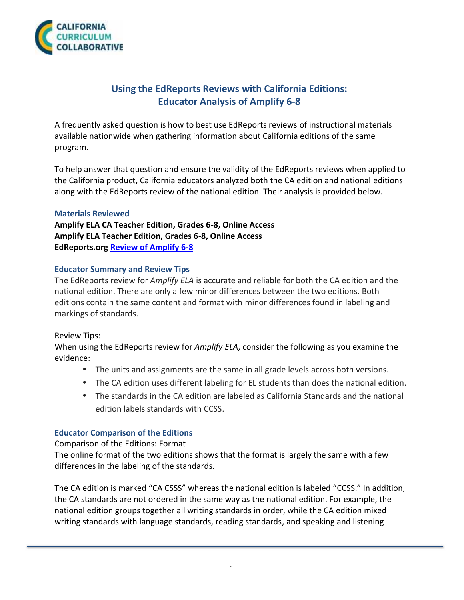

# **Using the EdReports Reviews with California Editions: Educator Analysis of Amplify 6-8**

A frequently asked question is how to best use EdReports reviews of instructional materials available nationwide when gathering information about California editions of the same program.

To help answer that question and ensure the validity of the EdReports reviews when applied to the California product, California educators analyzed both the CA edition and national editions along with the EdReports review of the national edition. Their analysis is provided below.

#### **Materials Reviewed**

**Amplify ELA CA Teacher Edition, Grades 6-8, Online Access Amplify ELA Teacher Edition, Grades 6-8, Online Access EdReports.org Review of Amplify 6-8**

### **Educator Summary and Review Tips**

The EdReports review for *Amplify ELA* is accurate and reliable for both the CA edition and the national edition. There are only a few minor differences between the two editions. Both editions contain the same content and format with minor differences found in labeling and markings of standards.

### Review Tips:

When using the EdReports review for *Amplify ELA*, consider the following as you examine the evidence:

- The units and assignments are the same in all grade levels across both versions.
- The CA edition uses different labeling for EL students than does the national edition.
- The standards in the CA edition are labeled as California Standards and the national edition labels standards with CCSS.

### **Educator Comparison of the Editions**

#### Comparison of the Editions: Format

The online format of the two editions shows that the format is largely the same with a few differences in the labeling of the standards.

The CA edition is marked "CA CSSS" whereas the national edition is labeled "CCSS." In addition, the CA standards are not ordered in the same way as the national edition. For example, the national edition groups together all writing standards in order, while the CA edition mixed writing standards with language standards, reading standards, and speaking and listening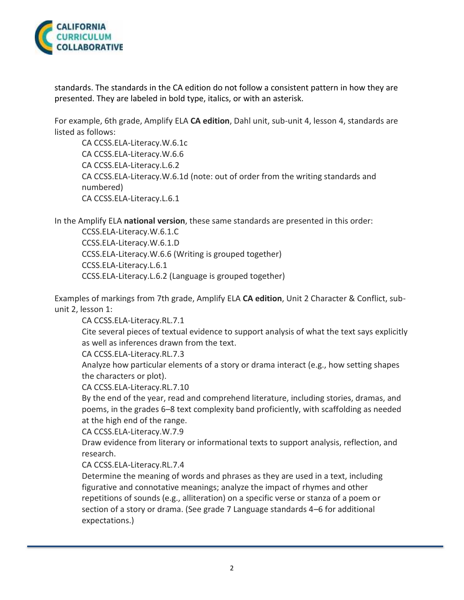

standards. The standards in the CA edition do not follow a consistent pattern in how they are presented. They are labeled in bold type, italics, or with an asterisk.

For example, 6th grade, Amplify ELA **CA edition**, Dahl unit, sub-unit 4, lesson 4, standards are listed as follows:

CA CCSS.ELA-Literacy.W.6.1c CA CCSS.ELA-Literacy.W.6.6 CA CCSS.ELA-Literacy.L.6.2 CA CCSS.ELA-Literacy.W.6.1d (note: out of order from the writing standards and numbered) CA CCSS.ELA-Literacy.L.6.1

In the Amplify ELA **national version**, these same standards are presented in this order:

CCSS.ELA-Literacy.W.6.1.C CCSS.ELA-Literacy.W.6.1.D CCSS.ELA-Literacy.W.6.6 (Writing is grouped together) CCSS.ELA-Literacy.L.6.1 CCSS.ELA-Literacy.L.6.2 (Language is grouped together)

Examples of markings from 7th grade, Amplify ELA **CA edition**, Unit 2 Character & Conflict, sub unit 2, lesson 1:

CA CCSS.ELA-Literacy.RL.7.1

Cite several pieces of textual evidence to support analysis of what the text says explicitly as well as inferences drawn from the text.

CA CCSS.ELA-Literacy.RL.7.3

Analyze how particular elements of a story or drama interact (e.g., how setting shapes the characters or plot).

CA CCSS.ELA-Literacy.RL.7.10

By the end of the year, read and comprehend literature, including stories, dramas, and poems, in the grades 6–8 text complexity band proficiently, with scaffolding as needed at the high end of the range.

CA CCSS.ELA-Literacy.W.7.9

Draw evidence from literary or informational texts to support analysis, reflection, and research.

CA CCSS.ELA-Literacy.RL.7.4

Determine the meaning of words and phrases as they are used in a text, including figurative and connotative meanings; analyze the impact of rhymes and other repetitions of sounds (e.g., alliteration) on a specific verse or stanza of a poem or section of a story or drama. (See grade 7 Language standards 4–6 for additional expectations.)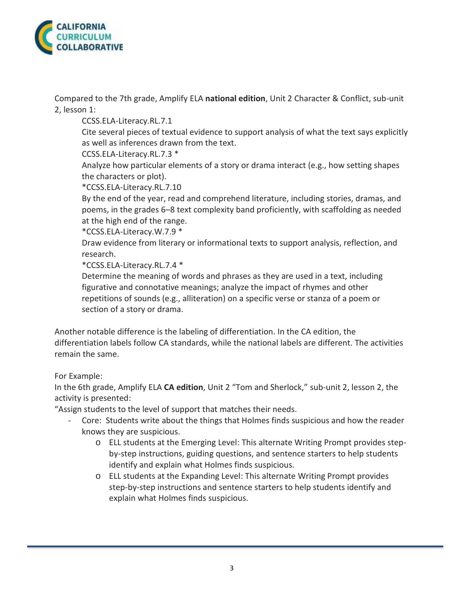

Compared to the 7th grade, Amplify ELA **national edition**, Unit 2 Character & Conflict, sub-unit 2, lesson 1:

CCSS.ELA-Literacy.RL.7.1

Cite several pieces of textual evidence to support analysis of what the text says explicitly as well as inferences drawn from the text.

CCSS.ELA-Literacy.RL.7.3 \*

Analyze how particular elements of a story or drama interact (e.g., how setting shapes the characters or plot).

\*CCSS.ELA-Literacy.RL.7.10

By the end of the year, read and comprehend literature, including stories, dramas, and poems, in the grades 6–8 text complexity band proficiently, with scaffolding as needed at the high end of the range.

\*CCSS.ELA-Literacy.W.7.9 \*

Draw evidence from literary or informational texts to support analysis, reflection, and research.

\*CCSS.ELA-Literacy.RL.7.4 \*

Determine the meaning of words and phrases as they are used in a text, including figurative and connotative meanings; analyze the impact of rhymes and other repetitions of sounds (e.g., alliteration) on a specific verse or stanza of a poem or section of a story or drama.

Another notable difference is the labeling of differentiation. In the CA edition, the differentiation labels follow CA standards, while the national labels are different. The activities remain the same.

# For Example:

In the 6th grade, Amplify ELA **CA edition**, Unit 2 "Tom and Sherlock," sub-unit 2, lesson 2, the activity is presented:

"Assign students to the level of support that matches their needs.

- Core: Students write about the things that Holmes finds suspicious and how the reader knows they are suspicious.
	- o ELL students at the Emerging Level: This alternate Writing Prompt provides step by-step instructions, guiding questions, and sentence starters to help students identify and explain what Holmes finds suspicious.
	- o ELL students at the Expanding Level: This alternate Writing Prompt provides step-by-step instructions and sentence starters to help students identify and explain what Holmes finds suspicious.